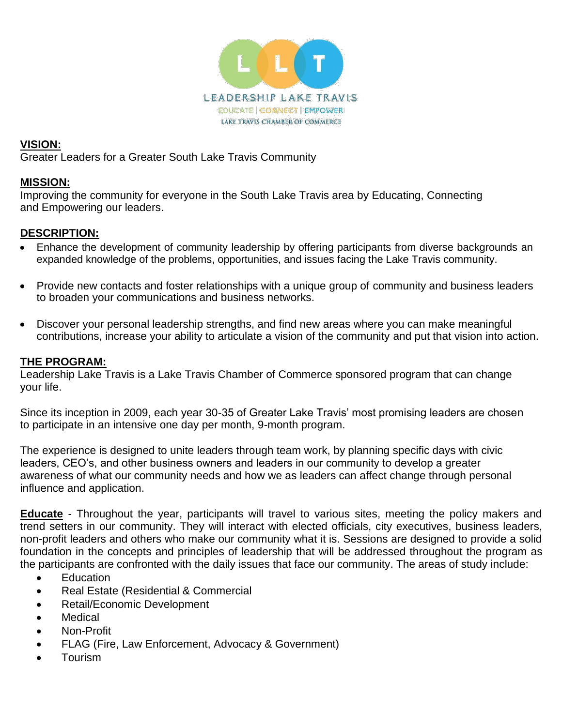

## **VISION:**

Greater Leaders for a Greater South Lake Travis Community

## **MISSION:**

Improving the community for everyone in the South Lake Travis area by Educating, Connecting and Empowering our leaders.

## **DESCRIPTION:**

- Enhance the development of community leadership by offering participants from diverse backgrounds an expanded knowledge of the problems, opportunities, and issues facing the Lake Travis community.
- Provide new contacts and foster relationships with a unique group of community and business leaders to broaden your communications and business networks.
- Discover your personal leadership strengths, and find new areas where you can make meaningful contributions, increase your ability to articulate a vision of the community and put that vision into action.

## **THE PROGRAM:**

Leadership Lake Travis is a Lake Travis Chamber of Commerce sponsored program that can change your life.

Since its inception in 2009, each year 30-35 of Greater Lake Travis' most promising leaders are chosen to participate in an intensive one day per month, 9-month program.

The experience is designed to unite leaders through team work, by planning specific days with civic leaders, CEO's, and other business owners and leaders in our community to develop a greater awareness of what our community needs and how we as leaders can affect change through personal influence and application.

**Educate** - Throughout the year, participants will travel to various sites, meeting the policy makers and trend setters in our community. They will interact with elected officials, city executives, business leaders, non-profit leaders and others who make our community what it is. Sessions are designed to provide a solid foundation in the concepts and principles of leadership that will be addressed throughout the program as the participants are confronted with the daily issues that face our community. The areas of study include:

- Education
- Real Estate (Residential & Commercial
- Retail/Economic Development
- Medical
- Non-Profit
- FLAG (Fire, Law Enforcement, Advocacy & Government)
- Tourism